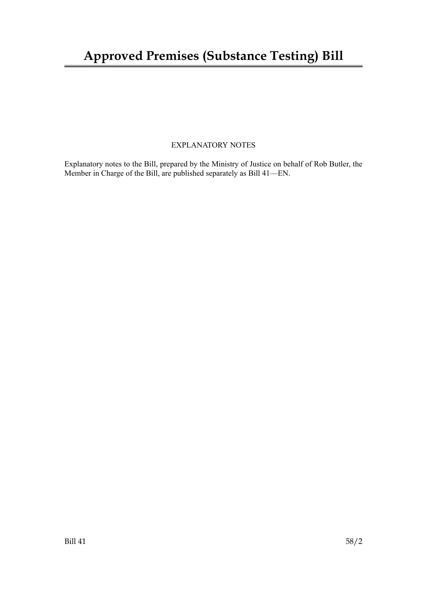## EXPLANATORY NOTES

Explanatory notes to the Bill, prepared by the Ministry of Justice on behalf of Rob Butler, the Member in Charge of the Bill, are published separately as Bill 41—EN.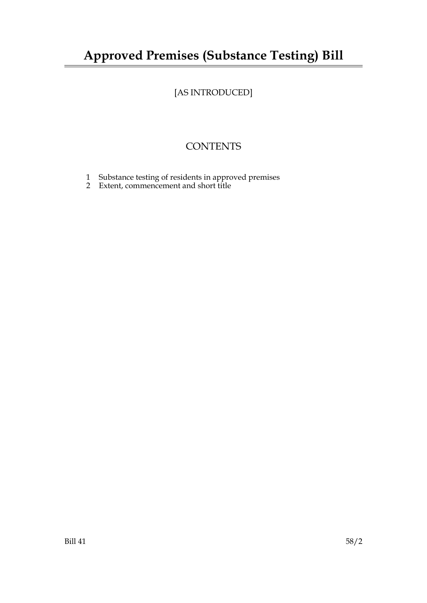# **Approved Premises (Substance Testing) Bill**

# [AS INTRODUCED]

# **CONTENTS**

- 1 Substance testing of residents in approved premises
- 2 Extent, commencement and short title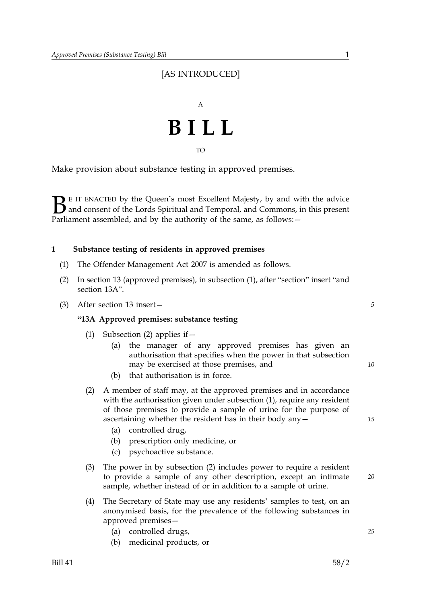## [AS INTRODUCED]



TO

Make provision about substance testing in approved premises.

 $\sum$  E IT ENACTED by the Queen's most Excellent Majesty, by and with the advice<br>and consent of the Lords Spiritual and Temporal, and Commons, in this present<br>Parliament assembled, and by the authority of the same, as foll and consent of the Lords Spiritual and Temporal, and Commons, in this present Parliament assembled, and by the authority of the same, as follows: -

### **1 Substance testing of residents in approved premises**

- (1) The Offender Management Act 2007 is amended as follows.
- (2) In section 13 (approved premises), in subsection (1), after "section" insert "and section 13A".
- (3) After section 13 insert— *5*

### **"13A Approved premises: substance testing**

- (1) Subsection (2) applies if  $-$ 
	- (a) the manager of any approved premises has given an authorisation that specifies when the power in that subsection may be exercised at those premises, and
	- (b) that authorisation is in force.
- (2) A member of staff may, at the approved premises and in accordance with the authorisation given under subsection (1), require any resident of those premises to provide a sample of urine for the purpose of ascertaining whether the resident has in their body any—
	- (a) controlled drug,
	- (b) prescription only medicine, or
	- (c) psychoactive substance.
- (3) The power in by subsection (2) includes power to require a resident to provide a sample of any other description, except an intimate sample, whether instead of or in addition to a sample of urine.
- (4) The Secretary of State may use any residents' samples to test, on an anonymised basis, for the prevalence of the following substances in approved premises—
	- (a) controlled drugs, *25*
	- (b) medicinal products, or

*15*

*10*

*20*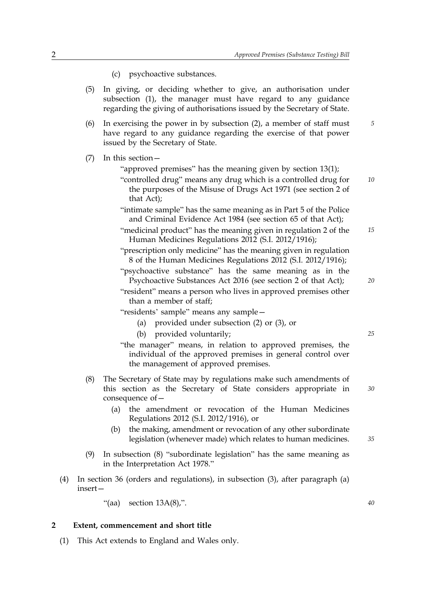- (c) psychoactive substances.
- (5) In giving, or deciding whether to give, an authorisation under subsection (1), the manager must have regard to any guidance regarding the giving of authorisations issued by the Secretary of State.
- (6) In exercising the power in by subsection (2), a member of staff must *5* have regard to any guidance regarding the exercise of that power issued by the Secretary of State.
- (7) In this section—
	- "approved premises" has the meaning given by section 13(1);
	- "controlled drug" means any drug which is a controlled drug for *10* the purposes of the Misuse of Drugs Act 1971 (see section 2 of that Act);
	- "intimate sample" has the same meaning as in Part 5 of the Police and Criminal Evidence Act 1984 (see section 65 of that Act);
	- "medicinal product" has the meaning given in regulation 2 of the *15* Human Medicines Regulations 2012 (S.I. 2012/1916);
	- "prescription only medicine" has the meaning given in regulation 8 of the Human Medicines Regulations 2012 (S.I. 2012/1916);
	- "psychoactive substance" has the same meaning as in the Psychoactive Substances Act 2016 (see section 2 of that Act);
	- "resident" means a person who lives in approved premises other than a member of staff;
	- "residents' sample" means any sample—
		- (a) provided under subsection (2) or (3), or
		-
		- (b) provided voluntarily; *25*
	- "the manager" means, in relation to approved premises, the individual of the approved premises in general control over the management of approved premises.
- (8) The Secretary of State may by regulations make such amendments of this section as the Secretary of State considers appropriate in consequence of—
	- (a) the amendment or revocation of the Human Medicines Regulations 2012 (S.I. 2012/1916), or
	- (b) the making, amendment or revocation of any other subordinate legislation (whenever made) which relates to human medicines.
- (9) In subsection (8) "subordinate legislation" has the same meaning as in the Interpretation Act 1978."
- (4) In section 36 (orders and regulations), in subsection (3), after paragraph (a) insert—

"(aa) section 13A(8),". *40*

### **2 Extent, commencement and short title**

(1) This Act extends to England and Wales only.

*30*

*20*

*35*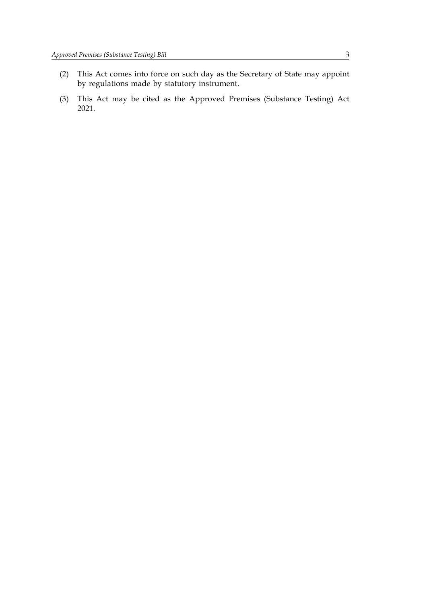- (2) This Act comes into force on such day as the Secretary of State may appoint by regulations made by statutory instrument.
- (3) This Act may be cited as the Approved Premises (Substance Testing) Act 2021.